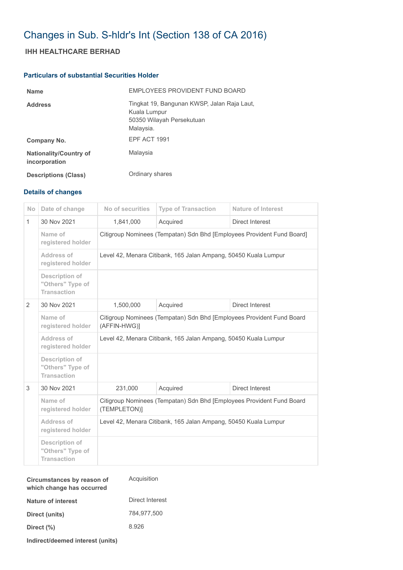## Changes in Sub. S-hldr's Int (Section 138 of CA 2016)

## **IHH HEALTHCARE BERHAD**

## **Particulars of substantial Securities Holder**

| <b>Name</b>                                    | EMPLOYEES PROVIDENT FUND BOARD                                                                        |
|------------------------------------------------|-------------------------------------------------------------------------------------------------------|
| <b>Address</b>                                 | Tingkat 19, Bangunan KWSP, Jalan Raja Laut,<br>Kuala Lumpur<br>50350 Wilayah Persekutuan<br>Malaysia. |
| Company No.                                    | EPF ACT 1991                                                                                          |
| <b>Nationality/Country of</b><br>incorporation | Malaysia                                                                                              |
| <b>Descriptions (Class)</b>                    | Ordinary shares                                                                                       |

## **Details of changes**

| <b>No</b>      | Date of change                                                  | No of securities                                                                      | <b>Type of Transaction</b> | <b>Nature of Interest</b> |  |  |
|----------------|-----------------------------------------------------------------|---------------------------------------------------------------------------------------|----------------------------|---------------------------|--|--|
| $\mathbf{1}$   | 30 Nov 2021                                                     | 1,841,000                                                                             | Acquired                   | Direct Interest           |  |  |
|                | Name of<br>registered holder                                    | Citigroup Nominees (Tempatan) Sdn Bhd [Employees Provident Fund Board]                |                            |                           |  |  |
|                | Address of<br>registered holder                                 | Level 42, Menara Citibank, 165 Jalan Ampang, 50450 Kuala Lumpur                       |                            |                           |  |  |
|                | <b>Description of</b><br>"Others" Type of<br><b>Transaction</b> |                                                                                       |                            |                           |  |  |
| $\overline{2}$ | 30 Nov 2021                                                     | 1,500,000                                                                             | Acquired                   | Direct Interest           |  |  |
|                | Name of<br>registered holder                                    | Citigroup Nominees (Tempatan) Sdn Bhd [Employees Provident Fund Board<br>(AFFIN-HWG)] |                            |                           |  |  |
|                | Address of<br>registered holder                                 | Level 42, Menara Citibank, 165 Jalan Ampang, 50450 Kuala Lumpur                       |                            |                           |  |  |
|                | Description of<br>"Others" Type of<br><b>Transaction</b>        |                                                                                       |                            |                           |  |  |
| 3              | 30 Nov 2021                                                     | 231,000                                                                               | Acquired                   | Direct Interest           |  |  |
|                | Name of<br>registered holder                                    | Citigroup Nominees (Tempatan) Sdn Bhd [Employees Provident Fund Board<br>(TEMPLETON)] |                            |                           |  |  |
|                | Address of<br>registered holder                                 | Level 42, Menara Citibank, 165 Jalan Ampang, 50450 Kuala Lumpur                       |                            |                           |  |  |
|                | <b>Description of</b><br>"Others" Type of<br><b>Transaction</b> |                                                                                       |                            |                           |  |  |

| Circumstances by reason of<br>which change has occurred | Acquisition     |  |
|---------------------------------------------------------|-----------------|--|
| Nature of interest                                      | Direct Interest |  |
| Direct (units)                                          | 784.977.500     |  |
| Direct (%)                                              | 8.926           |  |
|                                                         |                 |  |

**Indirect/deemed interest (units)**